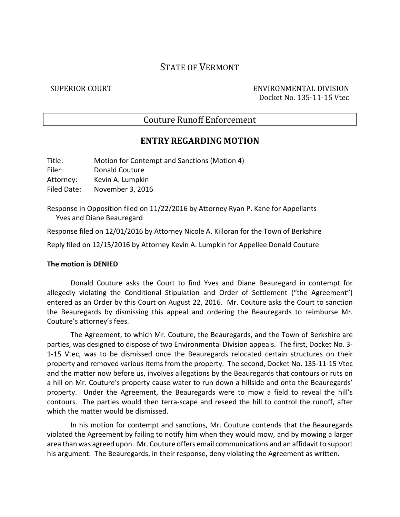# STATE OF VERMONT

#### SUPERIOR COURT ENVIRONMENTAL DIVISION Docket No. 135-11-15 Vtec

### Couture Runoff Enforcement

## **ENTRY REGARDING MOTION**

Title: Motion for Contempt and Sanctions (Motion 4) Filer: Donald Couture Attorney: Kevin A. Lumpkin Filed Date: November 3, 2016

Response in Opposition filed on 11/22/2016 by Attorney Ryan P. Kane for Appellants Yves and Diane Beauregard

Response filed on 12/01/2016 by Attorney Nicole A. Killoran for the Town of Berkshire Reply filed on 12/15/2016 by Attorney Kevin A. Lumpkin for Appellee Donald Couture

#### **The motion is DENIED**

Donald Couture asks the Court to find Yves and Diane Beauregard in contempt for allegedly violating the Conditional Stipulation and Order of Settlement ("the Agreement") entered as an Order by this Court on August 22, 2016. Mr. Couture asks the Court to sanction the Beauregards by dismissing this appeal and ordering the Beauregards to reimburse Mr. Couture's attorney's fees.

The Agreement, to which Mr. Couture, the Beauregards, and the Town of Berkshire are parties, was designed to dispose of two Environmental Division appeals. The first, Docket No. 3- 1-15 Vtec, was to be dismissed once the Beauregards relocated certain structures on their property and removed various items from the property. The second, Docket No. 135-11-15 Vtec and the matter now before us, involves allegations by the Beauregards that contours or ruts on a hill on Mr. Couture's property cause water to run down a hillside and onto the Beauregards' property. Under the Agreement, the Beauregards were to mow a field to reveal the hill's contours. The parties would then terra-scape and reseed the hill to control the runoff, after which the matter would be dismissed.

In his motion for contempt and sanctions, Mr. Couture contends that the Beauregards violated the Agreement by failing to notify him when they would mow, and by mowing a larger area than was agreed upon. Mr. Couture offers email communications and an affidavit to support his argument. The Beauregards, in their response, deny violating the Agreement as written.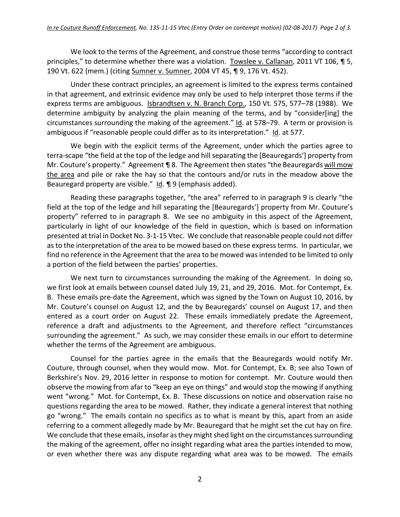We look to the terms of the Agreement, and construe those terms "according to contract principles," to determine whether there was a violation. Towslee v. Callanan, 2011 VT 106, ¶ 5, 190 Vt. 622 (mem.) (citing Sumner v. Sumner, 2004 VT 45, ¶ 9, 176 Vt. 452).

Under these contract principles, an agreement is limited to the express terms contained in that agreement, and extrinsic evidence may only be used to help interpret those terms if the express terms are ambiguous. Isbrandtsen v. N. Branch Corp., 150 Vt. 575, 577-78 (1988). We determine ambiguity by analyzing the plain meaning of the terms, and by "consider[ing] the circumstances surrounding the making of the agreement." Id. at 578–79. A term or provision is ambiguous if "reasonable people could differ as to its interpretation." Id. at 577.

We begin with the explicit terms of the Agreement, under which the parties agree to terra-scape "the field at the top of the ledge and hill separating the [Beauregards'] property from Mr. Couture's property." Agreement | 8. The Agreement then states "the Beauregards will mow the area and pile or rake the hay so that the contours and/or ruts in the meadow above the Beauregard property are visible."  $Id. \P$  9 (emphasis added).

Reading these paragraphs together, "the area" referred to in paragraph 9 is clearly "the field at the top of the ledge and hill separating the [Beauregards'] property from Mr. Couture's property" referred to in paragraph 8. We see no ambiguity in this aspect of the Agreement, particularly in light of our knowledge of the field in question, which is based on information presented at trial in Docket No. 3-1-15 Vtec. We conclude that reasonable people could not differ as to the interpretation of the area to be mowed based on these express terms. In particular, we find no reference in the Agreement that the area to be mowed was intended to be limited to only a portion of the field between the parties' properties.

We next turn to circumstances surrounding the making of the Agreement. In doing so, we first look at emails between counsel dated July 19, 21, and 29, 2016. Mot. for Contempt, Ex. B. These emails pre-date the Agreement, which was signed by the Town on August 10, 2016, by Mr. Couture's counsel on August 12, and the by Beauregards' counsel on August 17, and then entered as a court order on August 22. These emails immediately predate the Agreement, reference a draft and adjustments to the Agreement, and therefore reflect "circumstances surrounding the agreement." As such, we may consider these emails in our effort to determine whether the terms of the Agreement are ambiguous.

Counsel for the parties agree in the emails that the Beauregards would notify Mr. Couture, through counsel, when they would mow. Mot. for Contempt, Ex. B; see also Town of Berkshire's Nov. 29, 2016 letter in response to motion for contempt. Mr. Couture would then observe the mowing from afar to "keep an eye on things" and would stop the mowing if anything went "wrong." Mot. for Contempt, Ex. B. These discussions on notice and observation raise no questions regarding the area to be mowed. Rather, they indicate a general interest that nothing go "wrong." The emails contain no specifics as to what is meant by this, apart from an aside referring to a comment allegedly made by Mr. Beauregard that he might set the cut hay on fire. We conclude that these emails, insofar as they might shed light on the circumstances surrounding the making of the agreement, offer no insight regarding what area the parties intended to mow, or even whether there was any dispute regarding what area was to be mowed. The emails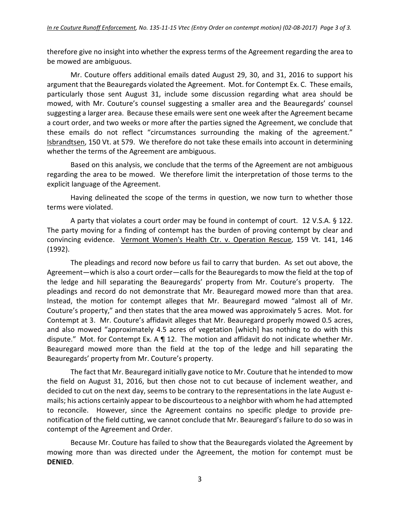therefore give no insight into whether the express terms of the Agreement regarding the area to be mowed are ambiguous.

Mr. Couture offers additional emails dated August 29, 30, and 31, 2016 to support his argument that the Beauregards violated the Agreement. Mot. for Contempt Ex. C. These emails, particularly those sent August 31, include some discussion regarding what area should be mowed, with Mr. Couture's counsel suggesting a smaller area and the Beauregards' counsel suggesting a larger area. Because these emails were sent one week after the Agreement became a court order, and two weeks or more after the parties signed the Agreement, we conclude that these emails do not reflect "circumstances surrounding the making of the agreement." Isbrandtsen, 150 Vt. at 579. We therefore do not take these emails into account in determining whether the terms of the Agreement are ambiguous.

Based on this analysis, we conclude that the terms of the Agreement are not ambiguous regarding the area to be mowed. We therefore limit the interpretation of those terms to the explicit language of the Agreement.

Having delineated the scope of the terms in question, we now turn to whether those terms were violated.

A party that violates a court order may be found in contempt of court. 12 V.S.A. § 122. The party moving for a finding of contempt has the burden of proving contempt by clear and convincing evidence. Vermont Women's Health Ctr. v. Operation Rescue, 159 Vt. 141, 146 (1992).

The pleadings and record now before us fail to carry that burden. As set out above, the Agreement—which is also a court order—calls for the Beauregards to mow the field at the top of the ledge and hill separating the Beauregards' property from Mr. Couture's property. The pleadings and record do not demonstrate that Mr. Beauregard mowed more than that area. Instead, the motion for contempt alleges that Mr. Beauregard mowed "almost all of Mr. Couture's property," and then states that the area mowed was approximately 5 acres. Mot. for Contempt at 3. Mr. Couture's affidavit alleges that Mr. Beauregard properly mowed 0.5 acres, and also mowed "approximately 4.5 acres of vegetation [which] has nothing to do with this dispute." Mot. for Contempt Ex. A ¶ 12. The motion and affidavit do not indicate whether Mr. Beauregard mowed more than the field at the top of the ledge and hill separating the Beauregards' property from Mr. Couture's property.

The fact that Mr. Beauregard initially gave notice to Mr. Couture that he intended to mow the field on August 31, 2016, but then chose not to cut because of inclement weather, and decided to cut on the next day, seems to be contrary to the representations in the late August emails; his actions certainly appear to be discourteous to a neighbor with whom he had attempted to reconcile. However, since the Agreement contains no specific pledge to provide prenotification of the field cutting, we cannot conclude that Mr. Beauregard's failure to do so was in contempt of the Agreement and Order.

Because Mr. Couture has failed to show that the Beauregards violated the Agreement by mowing more than was directed under the Agreement, the motion for contempt must be **DENIED**.